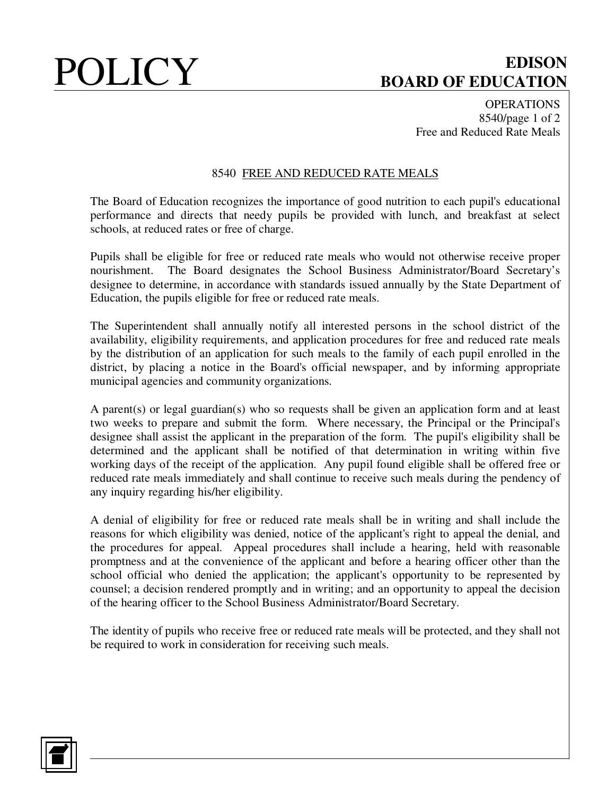# POLICY **EDISON BOARD OF EDUCATION**

**OPERATIONS** 8540/page 1 of 2 Free and Reduced Rate Meals

## 8540 FREE AND REDUCED RATE MEALS

The Board of Education recognizes the importance of good nutrition to each pupil's educational performance and directs that needy pupils be provided with lunch, and breakfast at select schools, at reduced rates or free of charge.

Pupils shall be eligible for free or reduced rate meals who would not otherwise receive proper nourishment. The Board designates the School Business Administrator/Board Secretary's designee to determine, in accordance with standards issued annually by the State Department of Education, the pupils eligible for free or reduced rate meals.

The Superintendent shall annually notify all interested persons in the school district of the availability, eligibility requirements, and application procedures for free and reduced rate meals by the distribution of an application for such meals to the family of each pupil enrolled in the district, by placing a notice in the Board's official newspaper, and by informing appropriate municipal agencies and community organizations.

A parent(s) or legal guardian(s) who so requests shall be given an application form and at least two weeks to prepare and submit the form. Where necessary, the Principal or the Principal's designee shall assist the applicant in the preparation of the form. The pupil's eligibility shall be determined and the applicant shall be notified of that determination in writing within five working days of the receipt of the application. Any pupil found eligible shall be offered free or reduced rate meals immediately and shall continue to receive such meals during the pendency of any inquiry regarding his/her eligibility.

A denial of eligibility for free or reduced rate meals shall be in writing and shall include the reasons for which eligibility was denied, notice of the applicant's right to appeal the denial, and the procedures for appeal. Appeal procedures shall include a hearing, held with reasonable promptness and at the convenience of the applicant and before a hearing officer other than the school official who denied the application; the applicant's opportunity to be represented by counsel; a decision rendered promptly and in writing; and an opportunity to appeal the decision of the hearing officer to the School Business Administrator/Board Secretary.

The identity of pupils who receive free or reduced rate meals will be protected, and they shall not be required to work in consideration for receiving such meals.